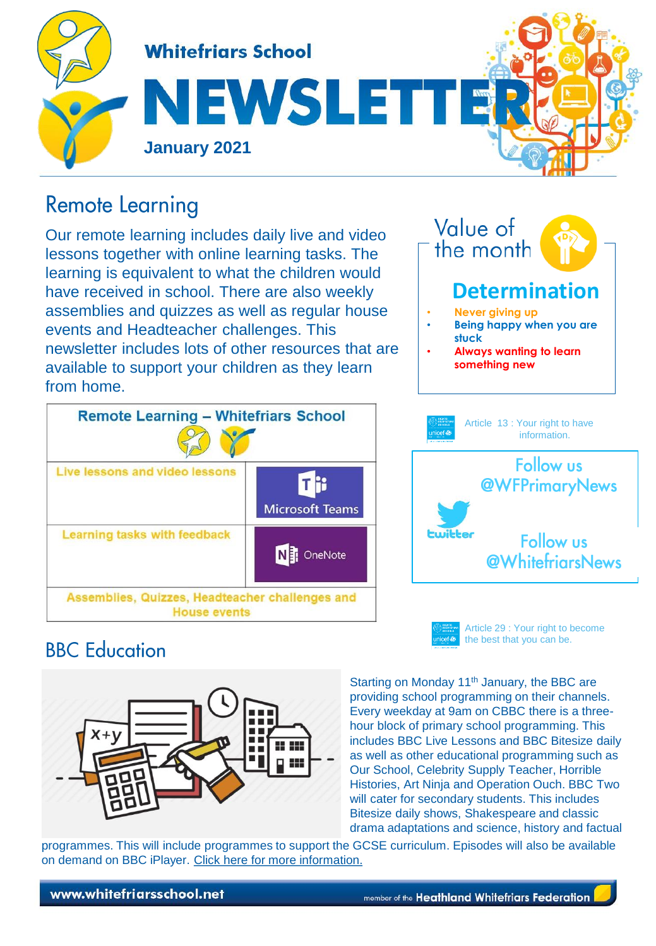

# **Remote Learning**

Our remote learning includes daily live and video lessons together with online learning tasks. The learning is equivalent to what the children would have received in school. There are also weekly assemblies and quizzes as well as regular house events and Headteacher challenges. This newsletter includes lots of other resources that are available to support your children as they learn from home.







Article 29 : Your right to become the best that you can be.

# **BBC** Education



Starting on Monday 11<sup>th</sup> January, the BBC are providing school programming on their channels. Every weekday at 9am on CBBC there is a threehour block of primary school programming. This includes BBC Live Lessons and BBC Bitesize daily as well as other educational programming such as Our School, Celebrity Supply Teacher, Horrible Histories, Art Ninja and Operation Ouch. BBC Two will cater for secondary students. This includes Bitesize daily shows, Shakespeare and classic drama adaptations and science, history and factual

programmes. This will include programmes to support the GCSE curriculum. Episodes will also be available on demand on BBC iPlayer. [Click here for more information](https://www.bbc.co.uk/news/education-55591821).

www.whitefriarsschool.net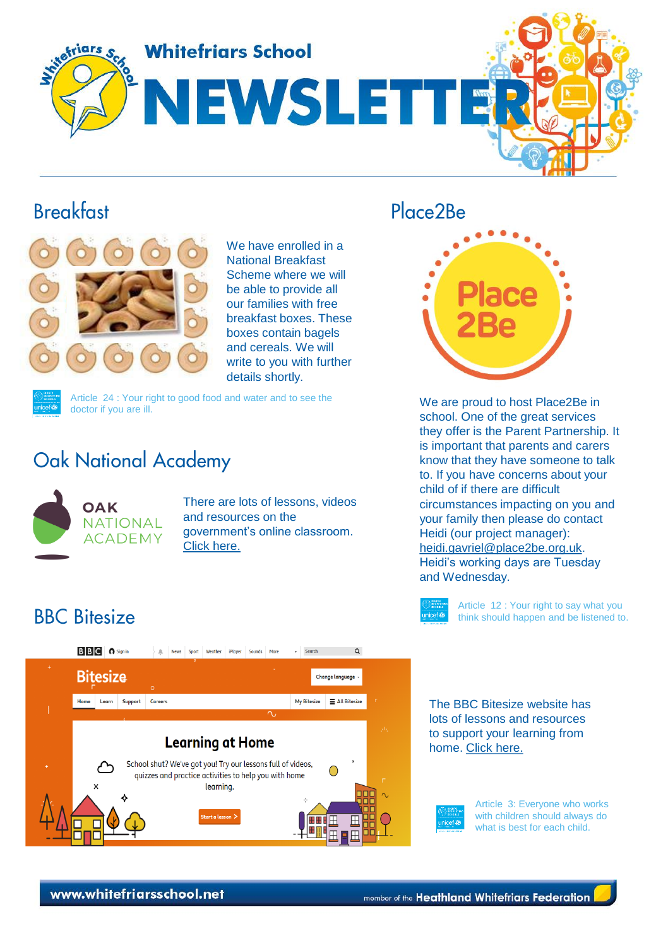

### **Breakfast**



We have enrolled in a National Breakfast Scheme where we will be able to provide all our families with free breakfast boxes. These boxes contain bagels and cereals. We will write to you with further details shortly.



Article 24 : Your right to good food and water and to see the doctor if you are ill.

# **Oak National Academy**



There are lots of lessons, videos and resources on the government's online classroom. [Click here.](https://classroom.thenational.academy/)

## Place<sub>2</sub>Be



We are proud to host Place2Be in school. One of the great services they offer is the Parent Partnership. It is important that parents and carers know that they have someone to talk to. If you have concerns about your child of if there are difficult circumstances impacting on you and your family then please do contact Heidi (our project manager): [heidi.gavriel@place2be.org.uk.](mailto:heidi.gavriel@place2be.org.uk) Heidi's working days are Tuesday and Wednesday.

Article 12 : Your right to say what you think should happen and be listened to.

# **BBC** Bitesize



The BBC Bitesize website has lots of lessons and resources to support your learning from home. [Click here.](https://www.bbc.co.uk/bitesize)



Article 3: Everyone who works with children should always do what is best for each child.